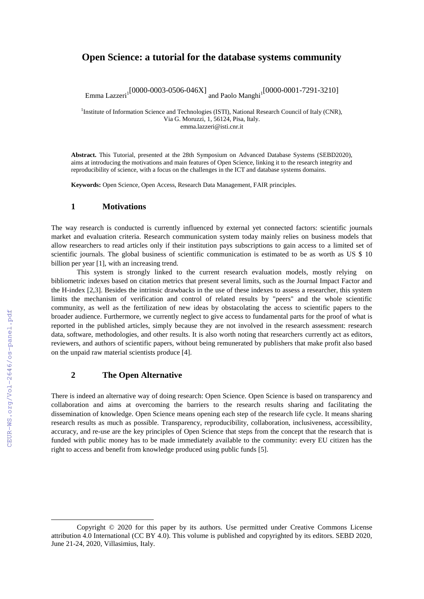# **Open Science: a tutorial for the database systems community**<sup>1</sup>

Emma Lazzeri<sup>1</sup>[0000-0003-0506-046X] and Paolo Manghi<sup>1</sup><sup>[0000-0001-7291-3210]</sup>

<sup>1</sup>Institute of Information Science and Technologies (ISTI), National Research Council of Italy (CNR), Via G. Moruzzi, 1, 56124, Pisa, Italy. emma.lazzeri@isti.cnr.it

**Abstract.** This Tutorial, presented at the 28th Symposium on Advanced Database Systems (SEBD2020), aims at introducing the motivations and main features of Open Science, linking it to the research integrity and reproducibility of science, with a focus on the challenges in the ICT and database systems domains.

**Keywords:** Open Science, Open Access, Research Data Management, FAIR principles.

### **1 Motivations**

The way research is conducted is currently influenced by external yet connected factors: scientific journals market and evaluation criteria. Research communication system today mainly relies on business models that allow researchers to read articles only if their institution pays subscriptions to gain access to a limited set of scientific journals. The global business of scientific communication is estimated to be as worth as US \$ 10 billion per year [1], with an increasing trend.

This system is strongly linked to the current research evaluation models, mostly relying on bibliometric indexes based on citation metrics that present several limits, such as the Journal Impact Factor and the H-index [2,3]. Besides the intrinsic drawbacks in the use of these indexes to assess a researcher, this system limits the mechanism of verification and control of related results by "peers" and the whole scientific community, as well as the fertilization of new ideas by obstacolating the access to scientific papers to the broader audience. Furthermore, we currently neglect to give access to fundamental parts for the proof of what is reported in the published articles, simply because they are not involved in the research assessment: research data, software, methodologies, and other results. It is also worth noting that researchers currently act as editors, reviewers, and authors of scientific papers, without being remunerated by publishers that make profit also based on the unpaid raw material scientists produce [4].

### **2 The Open Alternative**

There is indeed an alternative way of doing research: Open Science. Open Science is based on transparency and collaboration and aims at overcoming the barriers to the research results sharing and facilitating the dissemination of knowledge. Open Science means opening each step of the research life cycle. It means sharing research results as much as possible. Transparency, reproducibility, collaboration, inclusiveness, accessibility, accuracy, and re-use are the key principles of Open Science that steps from the concept that the research that is funded with public money has to be made immediately available to the community: every EU citizen has the right to access and benefit from knowledge produced using public funds [5].

-

Copyright © 2020 for this paper by its authors. Use permitted under Creative Commons License attribution 4.0 International (CC BY 4.0). This volume is published and copyrighted by its editors. SEBD 2020, June 21-24, 2020, Villasimius, Italy.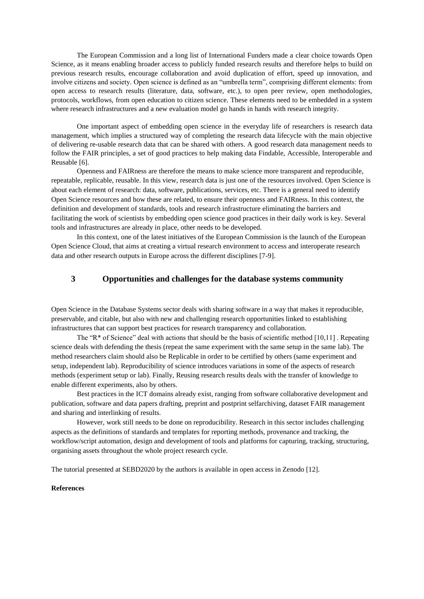The European Commission and a long list of International Funders made a clear choice towards Open Science, as it means enabling broader access to publicly funded research results and therefore helps to build on previous research results, encourage collaboration and avoid duplication of effort, speed up innovation, and involve citizens and society. Open science is defined as an "umbrella term", comprising different elements: from open access to research results (literature, data, software, etc.), to open peer review, open methodologies, protocols, workflows, from open education to citizen science. These elements need to be embedded in a system where research infrastructures and a new evaluation model go hands in hands with research integrity.

One important aspect of embedding open science in the everyday life of researchers is research data management, which implies a structured way of completing the research data lifecycle with the main objective of delivering re-usable research data that can be shared with others. A good research data management needs to follow the FAIR principles, a set of good practices to help making data Findable, Accessible, Interoperable and Reusable [6].

Openness and FAIRness are therefore the means to make science more transparent and reproducible, repeatable, replicable, reusable. In this view, research data is just one of the resources involved. Open Science is about each element of research: data, software, publications, services, etc. There is a general need to identify Open Science resources and how these are related, to ensure their openness and FAIRness. In this context, the definition and development of standards, tools and research infrastructure eliminating the barriers and facilitating the work of scientists by embedding open science good practices in their daily work is key. Several tools and infrastructures are already in place, other needs to be developed.

In this context, one of the latest initiatives of the European Commission is the launch of the European Open Science Cloud, that aims at creating a virtual research environment to access and interoperate research data and other research outputs in Europe across the different disciplines [7-9].

# **3 Opportunities and challenges for the database systems community**

Open Science in the Database Systems sector deals with sharing software in a way that makes it reproducible, preservable, and citable, but also with new and challenging research opportunities linked to establishing infrastructures that can support best practices for research transparency and collaboration.

The "R\* of Science" deal with actions that should be the basis of scientific method [10,11] . Repeating science deals with defending the thesis (repeat the same experiment with the same setup in the same lab). The method researchers claim should also be Replicable in order to be certified by others (same experiment and setup, independent lab). Reproducibility of science introduces variations in some of the aspects of research methods (experiment setup or lab). Finally, Reusing research results deals with the transfer of knowledge to enable different experiments, also by others.

Best practices in the ICT domains already exist, ranging from software collaborative development and publication, software and data papers drafting, preprint and postprint selfarchiving, dataset FAIR management and sharing and interlinking of results.

However, work still needs to be done on reproducibility. Research in this sector includes challenging aspects as the definitions of standards and templates for reporting methods, provenance and tracking, the workflow/script automation, design and development of tools and platforms for capturing, tracking, structuring, organising assets throughout the whole project research cycle.

The tutorial presented at SEBD2020 by the authors is available in open access in Zenodo [12].

#### **References**